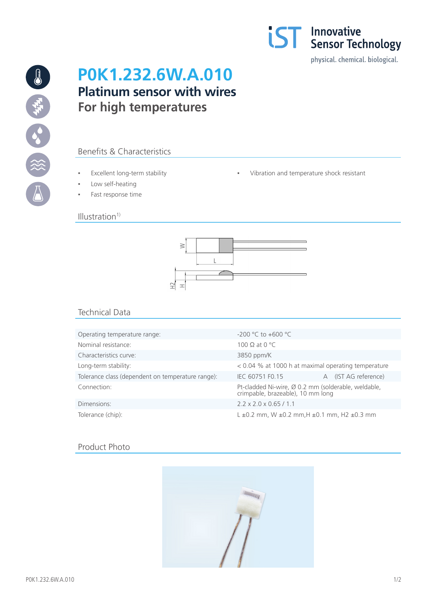

19 海水 3% (※)

# **P0K1.232.6W.A.010 Platinum sensor with wires For high temperatures**

## Benefits & Characteristics

- Excellent long-term stability  $\qquad \qquad \bullet$  Vibration and temperature shock resistant
- Low self-heating
- Fast response time

#### $Illustration<sup>1</sup>$



## Technical Data

| Operating temperature range:                      | $-200$ °C to $+600$ °C                                                                   |  |
|---------------------------------------------------|------------------------------------------------------------------------------------------|--|
| Nominal resistance:                               | 100 $\Omega$ at 0 °C                                                                     |  |
| Characteristics curve:                            | 3850 ppm/K                                                                               |  |
| Long-term stability:                              | < 0.04 % at 1000 h at maximal operating temperature                                      |  |
| Tolerance class (dependent on temperature range): | (IST AG reference)<br>IEC 60751 F0.15<br>A                                               |  |
| Connection:                                       | Pt-cladded Ni-wire, Ø 0.2 mm (solderable, weldable,<br>crimpable, brazeable), 10 mm long |  |
| Dimensions:                                       | $2.2 \times 2.0 \times 0.65 / 1.1$                                                       |  |
| Tolerance (chip):                                 | $L \pm 0.2$ mm, W $\pm 0.2$ mm, H $\pm 0.1$ mm, H2 $\pm 0.3$ mm                          |  |

### Product Photo